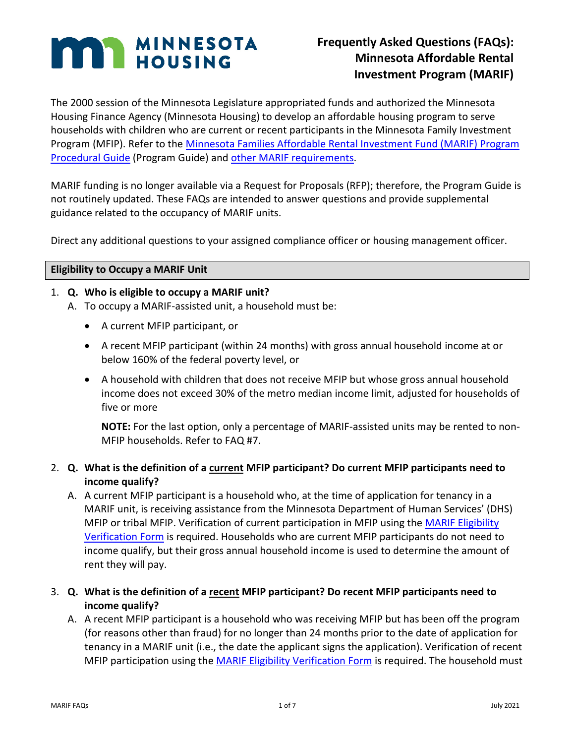# **MAN MINNESOTA**

# **Frequently Asked Questions (FAQs): Minnesota Affordable Rental Investment Program (MARIF)**

The 2000 session of the Minnesota Legislature appropriated funds and authorized the Minnesota Housing Finance Agency (Minnesota Housing) to develop an affordable housing program to serve households with children who are current or recent participants in the Minnesota Family Investment Program (MFIP). Refer to the [Minnesota Families Affordable Rental Investment Fund \(MARIF\) Program](https://www.mnhousing.gov/get/MHFA_003905)  [Procedural Guide](https://www.mnhousing.gov/get/MHFA_003905) (Program Guide) and [other MARIF requirements.](https://www.mnhousing.gov/sites/multifamily/marif)

MARIF funding is no longer available via a Request for Proposals (RFP); therefore, the Program Guide is not routinely updated. These FAQs are intended to answer questions and provide supplemental guidance related to the occupancy of MARIF units.

Direct any additional questions to your assigned compliance officer or housing management officer.

#### **Eligibility to Occupy a MARIF Unit**

#### 1. **Q. Who is eligible to occupy a MARIF unit?**

A. To occupy a MARIF-assisted unit, a household must be:

- A current MFIP participant, or
- A recent MFIP participant (within 24 months) with gross annual household income at or below 160% of the federal poverty level, or
- A household with children that does not receive MFIP but whose gross annual household income does not exceed 30% of the metro median income limit, adjusted for households of five or more

**NOTE:** For the last option, only a percentage of MARIF-assisted units may be rented to non-MFIP households. Refer to FAQ #7.

# 2. **Q. What is the definition of a current MFIP participant? Do current MFIP participants need to income qualify?**

A. A current MFIP participant is a household who, at the time of application for tenancy in a MARIF unit, is receiving assistance from the Minnesota Department of Human Services' (DHS) MFIP or tribal MFIP. Verification of current participation in MFIP using the [MARIF Eligibility](https://www.mnhousing.gov/download/MHFA_011834)  [Verification Form](https://www.mnhousing.gov/download/MHFA_011834) is required. Households who are current MFIP participants do not need to income qualify, but their gross annual household income is used to determine the amount of rent they will pay.

# 3. **Q. What is the definition of a recent MFIP participant? Do recent MFIP participants need to income qualify?**

A. A recent MFIP participant is a household who was receiving MFIP but has been off the program (for reasons other than fraud) for no longer than 24 months prior to the date of application for tenancy in a MARIF unit (i.e., the date the applicant signs the application). Verification of recent MFIP participation using the [MARIF Eligibility Verification Form](https://www.mnhousing.gov/download/MHFA_011834) is required. The household must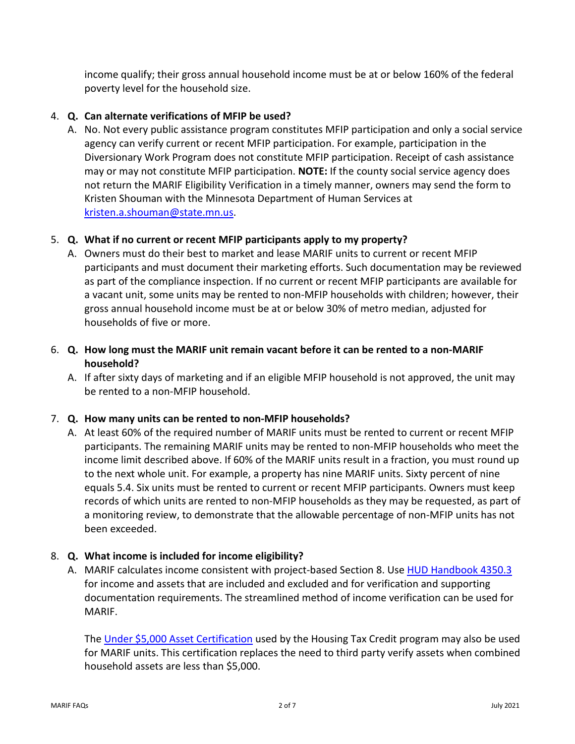income qualify; their gross annual household income must be at or below 160% of the federal poverty level for the household size.

# 4. **Q. Can alternate verifications of MFIP be used?**

A. No. Not every public assistance program constitutes MFIP participation and only a social service agency can verify current or recent MFIP participation. For example, participation in the Diversionary Work Program does not constitute MFIP participation. Receipt of cash assistance may or may not constitute MFIP participation. **NOTE:** If the county social service agency does not return the MARIF Eligibility Verification in a timely manner, owners may send the form to Kristen Shouman with the Minnesota Department of Human Services at [kristen.a.shouman@state.mn.us.](mailto:kristen.a.shouman@state.mn.us)

# 5. **Q. What if no current or recent MFIP participants apply to my property?**

A. Owners must do their best to market and lease MARIF units to current or recent MFIP participants and must document their marketing efforts. Such documentation may be reviewed as part of the compliance inspection. If no current or recent MFIP participants are available for a vacant unit, some units may be rented to non-MFIP households with children; however, their gross annual household income must be at or below 30% of metro median, adjusted for households of five or more.

# 6. **Q. How long must the MARIF unit remain vacant before it can be rented to a non-MARIF household?**

A. If after sixty days of marketing and if an eligible MFIP household is not approved, the unit may be rented to a non-MFIP household.

# 7. **Q. How many units can be rented to non-MFIP households?**

A. At least 60% of the required number of MARIF units must be rented to current or recent MFIP participants. The remaining MARIF units may be rented to non-MFIP households who meet the income limit described above. If 60% of the MARIF units result in a fraction, you must round up to the next whole unit. For example, a property has nine MARIF units. Sixty percent of nine equals 5.4. Six units must be rented to current or recent MFIP participants. Owners must keep records of which units are rented to non-MFIP households as they may be requested, as part of a monitoring review, to demonstrate that the allowable percentage of non-MFIP units has not been exceeded.

# 8. **Q. What income is included for income eligibility?**

A. MARIF calculates income consistent with project-based Section 8. Use [HUD Handbook 4350.3](https://www.hud.gov/sites/documents/43503HSGH.PDF) for income and assets that are included and excluded and for verification and supporting documentation requirements. The streamlined method of income verification can be used for MARIF.

The [Under \\$5,000 Asset Certification](https://www.mnhousing.gov/get/MHFA_006187) used by the Housing Tax Credit program may also be used for MARIF units. This certification replaces the need to third party verify assets when combined household assets are less than \$5,000.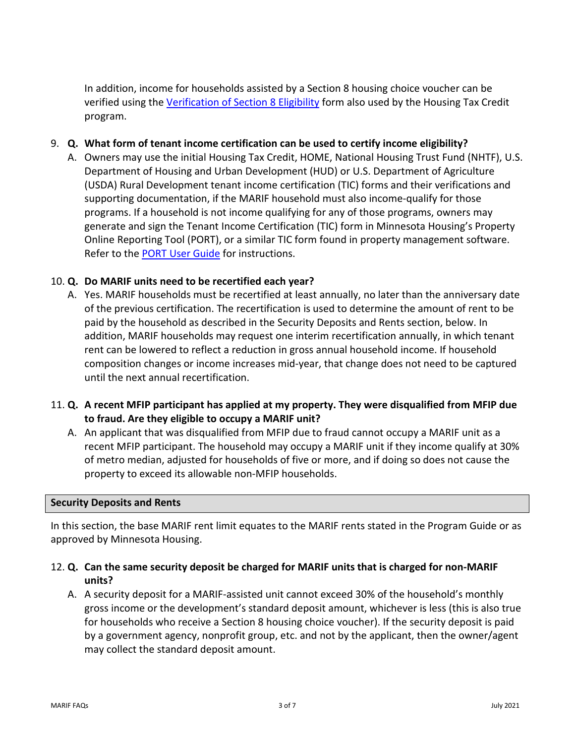In addition, income for households assisted by a Section 8 housing choice voucher can be verified using the [Verification of Section 8 Eligibility](https://www.mnhousing.gov/get/MHFA_006213) form also used by the Housing Tax Credit program.

#### 9. **Q. What form of tenant income certification can be used to certify income eligibility?**

A. Owners may use the initial Housing Tax Credit, HOME, National Housing Trust Fund (NHTF), U.S. Department of Housing and Urban Development (HUD) or U.S. Department of Agriculture (USDA) Rural Development tenant income certification (TIC) forms and their verifications and supporting documentation, if the MARIF household must also income-qualify for those programs. If a household is not income qualifying for any of those programs, owners may generate and sign the Tenant Income Certification (TIC) form in Minnesota Housing's Property Online Reporting Tool (PORT), or a similar TIC form found in property management software. Refer to the [PORT User Guide](https://www.mnhousing.gov/get/MHFA_1016460) for instructions.

#### 10. **Q. Do MARIF units need to be recertified each year?**

- A. Yes. MARIF households must be recertified at least annually, no later than the anniversary date of the previous certification. The recertification is used to determine the amount of rent to be paid by the household as described in the Security Deposits and Rents section, below. In addition, MARIF households may request one interim recertification annually, in which tenant rent can be lowered to reflect a reduction in gross annual household income. If household composition changes or income increases mid-year, that change does not need to be captured until the next annual recertification.
- 11. **Q. A recent MFIP participant has applied at my property. They were disqualified from MFIP due to fraud. Are they eligible to occupy a MARIF unit?**
	- A. An applicant that was disqualified from MFIP due to fraud cannot occupy a MARIF unit as a recent MFIP participant. The household may occupy a MARIF unit if they income qualify at 30% of metro median, adjusted for households of five or more, and if doing so does not cause the property to exceed its allowable non-MFIP households.

#### **Security Deposits and Rents**

In this section, the base MARIF rent limit equates to the MARIF rents stated in the Program Guide or as approved by Minnesota Housing.

#### 12. **Q. Can the same security deposit be charged for MARIF units that is charged for non-MARIF units?**

A. A security deposit for a MARIF-assisted unit cannot exceed 30% of the household's monthly gross income or the development's standard deposit amount, whichever is less (this is also true for households who receive a Section 8 housing choice voucher). If the security deposit is paid by a government agency, nonprofit group, etc. and not by the applicant, then the owner/agent may collect the standard deposit amount.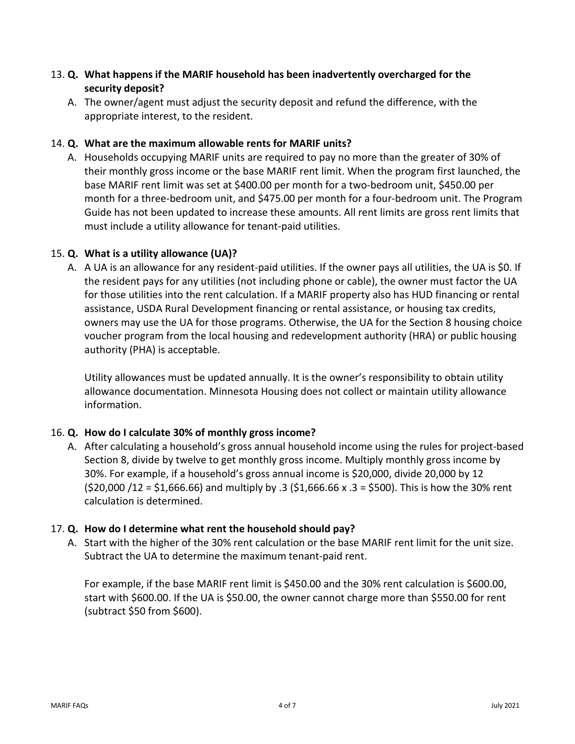# 13. **Q. What happens if the MARIF household has been inadvertently overcharged for the security deposit?**

A. The owner/agent must adjust the security deposit and refund the difference, with the appropriate interest, to the resident.

### 14. **Q. What are the maximum allowable rents for MARIF units?**

A. Households occupying MARIF units are required to pay no more than the greater of 30% of their monthly gross income or the base MARIF rent limit. When the program first launched, the base MARIF rent limit was set at \$400.00 per month for a two-bedroom unit, \$450.00 per month for a three-bedroom unit, and \$475.00 per month for a four-bedroom unit. The Program Guide has not been updated to increase these amounts. All rent limits are gross rent limits that must include a utility allowance for tenant-paid utilities.

#### 15. **Q. What is a utility allowance (UA)?**

A. A UA is an allowance for any resident-paid utilities. If the owner pays all utilities, the UA is \$0. If the resident pays for any utilities (not including phone or cable), the owner must factor the UA for those utilities into the rent calculation. If a MARIF property also has HUD financing or rental assistance, USDA Rural Development financing or rental assistance, or housing tax credits, owners may use the UA for those programs. Otherwise, the UA for the Section 8 housing choice voucher program from the local housing and redevelopment authority (HRA) or public housing authority (PHA) is acceptable.

Utility allowances must be updated annually. It is the owner's responsibility to obtain utility allowance documentation. Minnesota Housing does not collect or maintain utility allowance information.

# 16. **Q. How do I calculate 30% of monthly gross income?**

A. After calculating a household's gross annual household income using the rules for project-based Section 8, divide by twelve to get monthly gross income. Multiply monthly gross income by 30%. For example, if a household's gross annual income is \$20,000, divide 20,000 by 12  $(520,000 / 12 = 51,666.66)$  and multiply by .3  $(51,666.66 x .3 = 5500)$ . This is how the 30% rent calculation is determined.

# 17. **Q. How do I determine what rent the household should pay?**

A. Start with the higher of the 30% rent calculation or the base MARIF rent limit for the unit size. Subtract the UA to determine the maximum tenant-paid rent.

For example, if the base MARIF rent limit is \$450.00 and the 30% rent calculation is \$600.00, start with \$600.00. If the UA is \$50.00, the owner cannot charge more than \$550.00 for rent (subtract \$50 from \$600).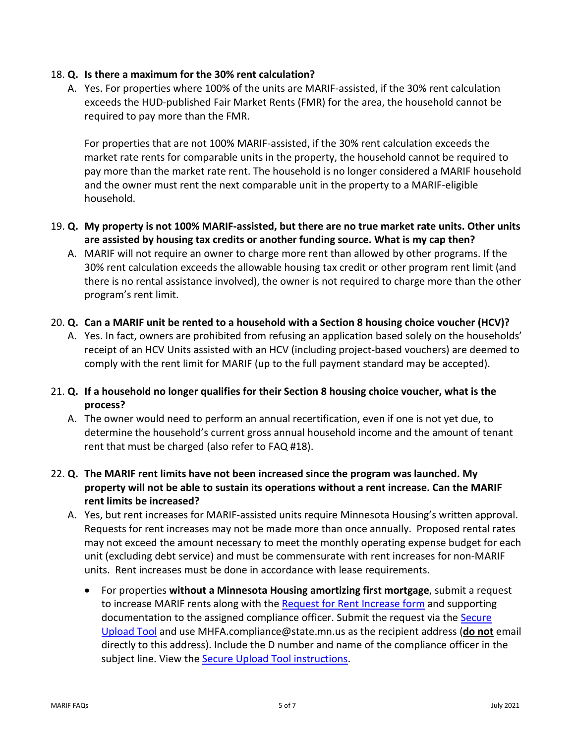#### 18. **Q. Is there a maximum for the 30% rent calculation?**

A. Yes. For properties where 100% of the units are MARIF-assisted, if the 30% rent calculation exceeds the HUD-published Fair Market Rents (FMR) for the area, the household cannot be required to pay more than the FMR.

For properties that are not 100% MARIF-assisted, if the 30% rent calculation exceeds the market rate rents for comparable units in the property, the household cannot be required to pay more than the market rate rent. The household is no longer considered a MARIF household and the owner must rent the next comparable unit in the property to a MARIF-eligible household.

- 19. **Q. My property is not 100% MARIF-assisted, but there are no true market rate units. Other units are assisted by housing tax credits or another funding source. What is my cap then?** 
	- A. MARIF will not require an owner to charge more rent than allowed by other programs. If the 30% rent calculation exceeds the allowable housing tax credit or other program rent limit (and there is no rental assistance involved), the owner is not required to charge more than the other program's rent limit.
- 20. **Q. Can a MARIF unit be rented to a household with a Section 8 housing choice voucher (HCV)?** 
	- A. Yes. In fact, owners are prohibited from refusing an application based solely on the households' receipt of an HCV Units assisted with an HCV (including project-based vouchers) are deemed to comply with the rent limit for MARIF (up to the full payment standard may be accepted).
- 21. **Q. If a household no longer qualifies for their Section 8 housing choice voucher, what is the process?** 
	- A. The owner would need to perform an annual recertification, even if one is not yet due, to determine the household's current gross annual household income and the amount of tenant rent that must be charged (also refer to FAQ #18).
- 22. **Q. The MARIF rent limits have not been increased since the program was launched. My property will not be able to sustain its operations without a rent increase. Can the MARIF rent limits be increased?**
	- A. Yes, but rent increases for MARIF-assisted units require Minnesota Housing's written approval. Requests for rent increases may not be made more than once annually. Proposed rental rates may not exceed the amount necessary to meet the monthly operating expense budget for each unit (excluding debt service) and must be commensurate with rent increases for non-MARIF units. Rent increases must be done in accordance with lease requirements.
		- For properties **without a Minnesota Housing amortizing first mortgage**, submit a request to increase MARIF rents along with the [Request for Rent Increase form](https://www.mnhousing.gov/download/MHFA_006609) and supporting documentation to the assigned compliance officer. Submit the request via th[e Secure](https://mnhousing.leapfile.net/)  [Upload Tool](https://mnhousing.leapfile.net/) and use MHFA.compliance@state.mn.us as the recipient address (**do not** email directly to this address). Include the D number and name of the compliance officer in the subject line. View the **Secure Upload Tool instructions**.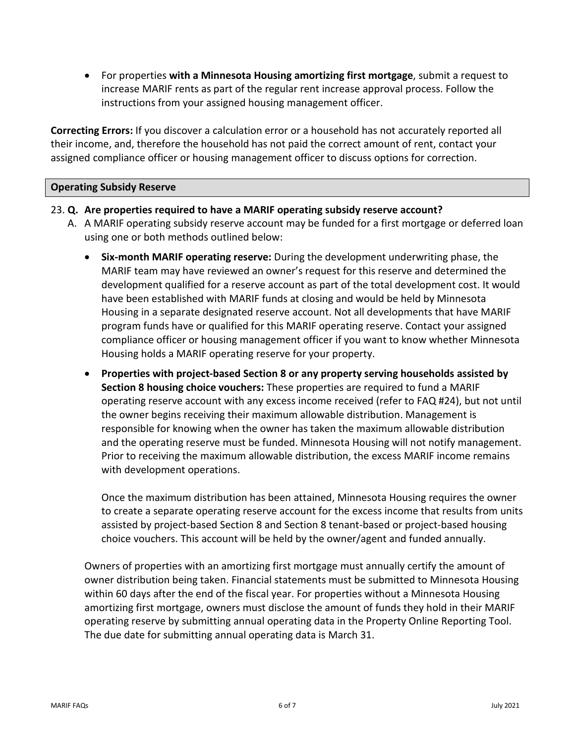• For properties **with a Minnesota Housing amortizing first mortgage**, submit a request to increase MARIF rents as part of the regular rent increase approval process. Follow the instructions from your assigned housing management officer.

**Correcting Errors:** If you discover a calculation error or a household has not accurately reported all their income, and, therefore the household has not paid the correct amount of rent, contact your assigned compliance officer or housing management officer to discuss options for correction.

#### **Operating Subsidy Reserve**

#### 23. **Q. Are properties required to have a MARIF operating subsidy reserve account?**

- A. A MARIF operating subsidy reserve account may be funded for a first mortgage or deferred loan using one or both methods outlined below:
	- **Six-month MARIF operating reserve:** During the development underwriting phase, the MARIF team may have reviewed an owner's request for this reserve and determined the development qualified for a reserve account as part of the total development cost. It would have been established with MARIF funds at closing and would be held by Minnesota Housing in a separate designated reserve account. Not all developments that have MARIF program funds have or qualified for this MARIF operating reserve. Contact your assigned compliance officer or housing management officer if you want to know whether Minnesota Housing holds a MARIF operating reserve for your property.
	- **Properties with project-based Section 8 or any property serving households assisted by Section 8 housing choice vouchers:** These properties are required to fund a MARIF operating reserve account with any excess income received (refer to FAQ #24), but not until the owner begins receiving their maximum allowable distribution. Management is responsible for knowing when the owner has taken the maximum allowable distribution and the operating reserve must be funded. Minnesota Housing will not notify management. Prior to receiving the maximum allowable distribution, the excess MARIF income remains with development operations.

Once the maximum distribution has been attained, Minnesota Housing requires the owner to create a separate operating reserve account for the excess income that results from units assisted by project-based Section 8 and Section 8 tenant-based or project-based housing choice vouchers. This account will be held by the owner/agent and funded annually.

Owners of properties with an amortizing first mortgage must annually certify the amount of owner distribution being taken. Financial statements must be submitted to Minnesota Housing within 60 days after the end of the fiscal year. For properties without a Minnesota Housing amortizing first mortgage, owners must disclose the amount of funds they hold in their MARIF operating reserve by submitting annual operating data in the Property Online Reporting Tool. The due date for submitting annual operating data is March 31.